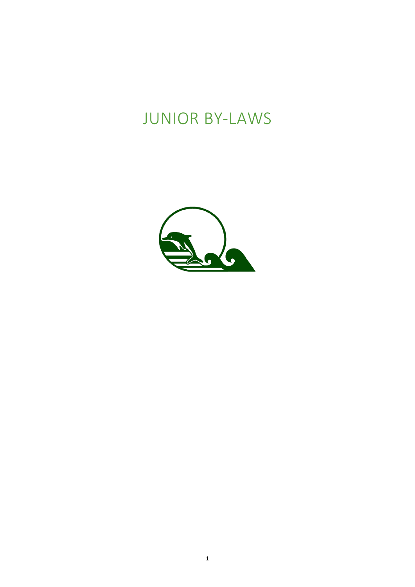# **JUNIOR BY-LAWS**

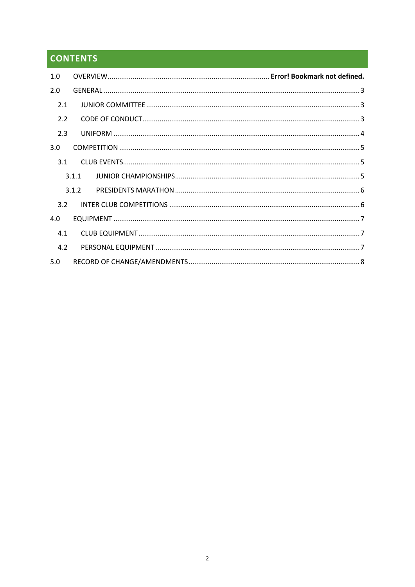# **CONTENTS**

| 1.0 |       |  |  |  |  |  |
|-----|-------|--|--|--|--|--|
| 2.0 |       |  |  |  |  |  |
| 2.1 |       |  |  |  |  |  |
| 2.2 |       |  |  |  |  |  |
| 2.3 |       |  |  |  |  |  |
| 3.0 |       |  |  |  |  |  |
| 3.1 |       |  |  |  |  |  |
|     | 3.1.1 |  |  |  |  |  |
|     | 3.1.2 |  |  |  |  |  |
| 3.2 |       |  |  |  |  |  |
| 4.0 |       |  |  |  |  |  |
| 4.1 |       |  |  |  |  |  |
| 4.2 |       |  |  |  |  |  |
| 5.0 |       |  |  |  |  |  |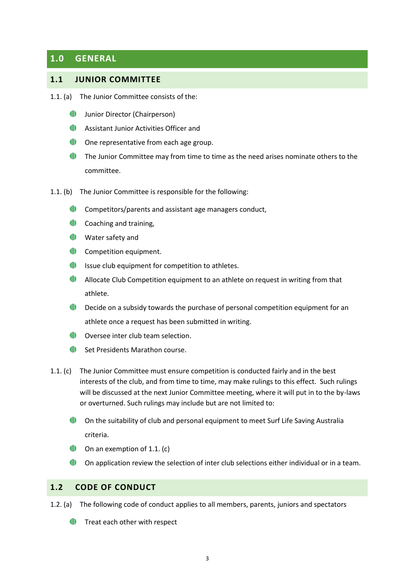## <span id="page-2-0"></span>**1.0 GENERAL**

#### <span id="page-2-1"></span>**1.1 JUNIOR COMMITTEE**

- 1.1. (a) The Junior Committee consists of the:
	- Junior Director (Chairperson)
	- **Assistant Junior Activities Officer and**
	- **ID** One representative from each age group.
	- **The Junior Committee may from time to time as the need arises nominate others to the** committee.
- 1.1. (b) The Junior Committee is responsible for the following:
	- **Competitors/parents and assistant age managers conduct,**
	- **(I)** Coaching and training,
	- **ID** Water safety and
	- **ID** Competition equipment.
	- Issue club equipment for competition to athletes.
	- $\blacksquare$ Allocate Club Competition equipment to an athlete on request in writing from that athlete.
	- **Decide on a subsidy towards the purchase of personal competition equipment for an** athlete once a request has been submitted in writing.
	- Oversee inter club team selection.
	- **ID** Set Presidents Marathon course.
- <span id="page-2-3"></span>1.1. (c) The Junior Committee must ensure competition is conducted fairly and in the best interests of the club, and from time to time, may make rulings to this effect. Such rulings will be discussed at the next Junior Committee meeting, where it will put in to the by-laws or overturned. Such rulings may include but are not limited to:
	- On the suitability of club and personal equipment to meet Surf Life Saving Australia criteria.
	- **ID** On an exemption of [1.1. \(c\)](#page-2-3)
	- On application review the selection of inter club selections either individual or in a team.

#### <span id="page-2-2"></span>**1.2 CODE OF CONDUCT**

- 1.2. (a) The following code of conduct applies to all members, parents, juniors and spectators
	- $\blacksquare$  Treat each other with respect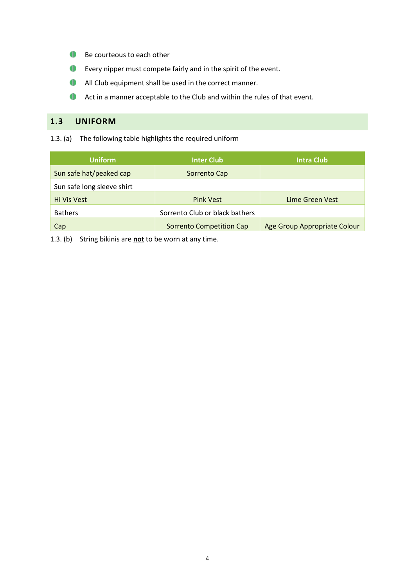- **Be courteous to each other**
- Every nipper must compete fairly and in the spirit of the event.
- All Club equipment shall be used in the correct manner.
- **Act in a manner acceptable to the Club and within the rules of that event.**

## <span id="page-3-0"></span>**1.3 UNIFORM**

1.3. (a) The following table highlights the required uniform

| <b>Uniform</b>             | <b>Inter Club</b>              | <b>Intra Club</b>            |
|----------------------------|--------------------------------|------------------------------|
| Sun safe hat/peaked cap    | Sorrento Cap                   |                              |
| Sun safe long sleeve shirt |                                |                              |
| Hi Vis Vest                | <b>Pink Vest</b>               | Lime Green Vest              |
| <b>Bathers</b>             | Sorrento Club or black bathers |                              |
| Cap                        | Sorrento Competition Cap       | Age Group Appropriate Colour |

1.3. (b) String bikinis are **not** to be worn at any time.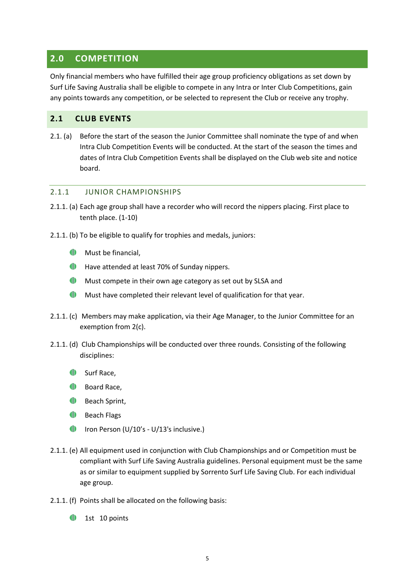## <span id="page-4-0"></span>**2.0 COMPETITION**

Only financial members who have fulfilled their age group proficiency obligations as set down by Surf Life Saving Australia shall be eligible to compete in any Intra or Inter Club Competitions, gain any points towards any competition, or be selected to represent the Club or receive any trophy.

#### <span id="page-4-1"></span>**2.1 CLUB EVENTS**

2.1. (a) Before the start of the season the Junior Committee shall nominate the type of and when Intra Club Competition Events will be conducted. At the start of the season the times and dates of Intra Club Competition Events shall be displayed on the Club web site and notice board.

#### <span id="page-4-2"></span>2.1.1 JUNIOR CHAMPIONSHIPS

- 2.1.1. (a) Each age group shall have a recorder who will record the nippers placing. First place to tenth place. (1-10)
- 2.1.1. (b) To be eligible to qualify for trophies and medals, juniors:
	- **We Must be financial,**
	- **ID** Have attended at least 70% of Sunday nippers.
	- **Must compete in their own age category as set out by SLSA and**
	- Must have completed their relevant level of qualification for that year.
- 2.1.1. (c) Members may make application, via their Age Manager, to the Junior Committee for an exemption from 2(c).
- 2.1.1. (d) Club Championships will be conducted over three rounds. Consisting of the following disciplines:
	- Surf Race,
	- **ID** Board Race,
	- **ID** Beach Sprint,
	- **ID** Beach Flags
	- **IFOUR PERSON (U/10's U/13's inclusive.)**
- 2.1.1. (e) All equipment used in conjunction with Club Championships and or Competition must be compliant with Surf Life Saving Australia guidelines. Personal equipment must be the same as or similar to equipment supplied by Sorrento Surf Life Saving Club. For each individual age group.
- 2.1.1. (f) Points shall be allocated on the following basis:
	- O 1st 10 points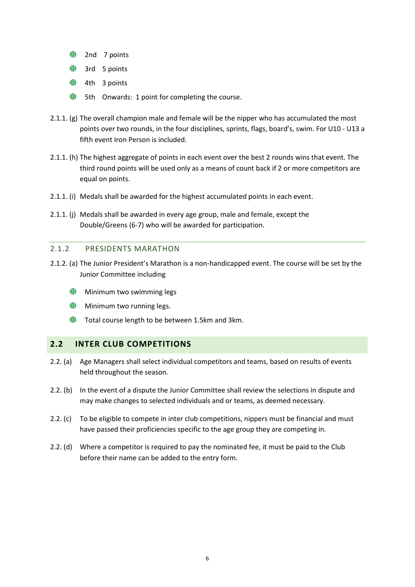- <sup>1</sup>2nd 7 points
- <sup>1</sup> 3rd 5 points
- <sup>1</sup>/<sub>4th</sub> 3 points
- **1** 5th Onwards: 1 point for completing the course.
- 2.1.1. (g) The overall champion male and female will be the nipper who has accumulated the most points over two rounds, in the four disciplines, sprints, flags, board's, swim. For U10 - U13 a fifth event Iron Person is included.
- 2.1.1. (h) The highest aggregate of points in each event over the best 2 rounds wins that event. The third round points will be used only as a means of count back if 2 or more competitors are equal on points.
- 2.1.1. (i) Medals shall be awarded for the highest accumulated points in each event.
- 2.1.1. (j) Medals shall be awarded in every age group, male and female, except the Double/Greens (6-7) who will be awarded for participation.

#### <span id="page-5-0"></span>2.1.2 PRESIDENTS MARATHON

- 2.1.2. (a) The Junior President's Marathon is a non-handicapped event. The course will be set by the Junior Committee including
	- **ID** Minimum two swimming legs
	- **ID** Minimum two running legs.
	- **Total course length to be between 1.5km and 3km.**

#### <span id="page-5-1"></span>**2.2 INTER CLUB COMPETITIONS**

- 2.2. (a) Age Managers shall select individual competitors and teams, based on results of events held throughout the season.
- 2.2. (b) In the event of a dispute the Junior Committee shall review the selections in dispute and may make changes to selected individuals and or teams, as deemed necessary.
- 2.2. (c) To be eligible to compete in inter club competitions, nippers must be financial and must have passed their proficiencies specific to the age group they are competing in.
- 2.2. (d) Where a competitor is required to pay the nominated fee, it must be paid to the Club before their name can be added to the entry form.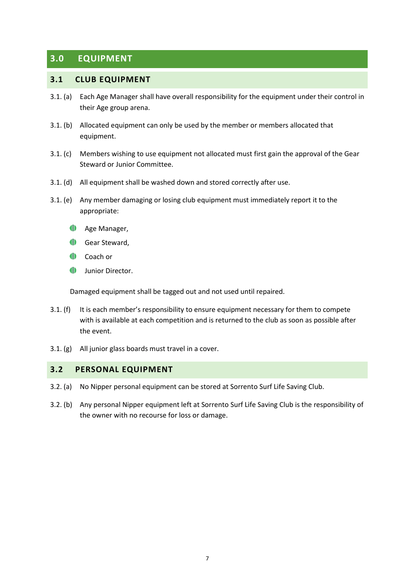# <span id="page-6-0"></span>**3.0 EQUIPMENT**

#### <span id="page-6-1"></span>**3.1 CLUB EQUIPMENT**

- 3.1. (a) Each Age Manager shall have overall responsibility for the equipment under their control in their Age group arena.
- 3.1. (b) Allocated equipment can only be used by the member or members allocated that equipment.
- 3.1. (c) Members wishing to use equipment not allocated must first gain the approval of the Gear Steward or Junior Committee.
- 3.1. (d) All equipment shall be washed down and stored correctly after use.
- 3.1. (e) Any member damaging or losing club equipment must immediately report it to the appropriate:
	- **ID** Age Manager,
	- **ID** Gear Steward,
	- Coach or
	- $\blacksquare$ Junior Director.

Damaged equipment shall be tagged out and not used until repaired.

- 3.1. (f) It is each member's responsibility to ensure equipment necessary for them to compete with is available at each competition and is returned to the club as soon as possible after the event.
- 3.1. (g) All junior glass boards must travel in a cover.

#### <span id="page-6-2"></span>**3.2 PERSONAL EQUIPMENT**

- 3.2. (a) No Nipper personal equipment can be stored at Sorrento Surf Life Saving Club.
- 3.2. (b) Any personal Nipper equipment left at Sorrento Surf Life Saving Club is the responsibility of the owner with no recourse for loss or damage.